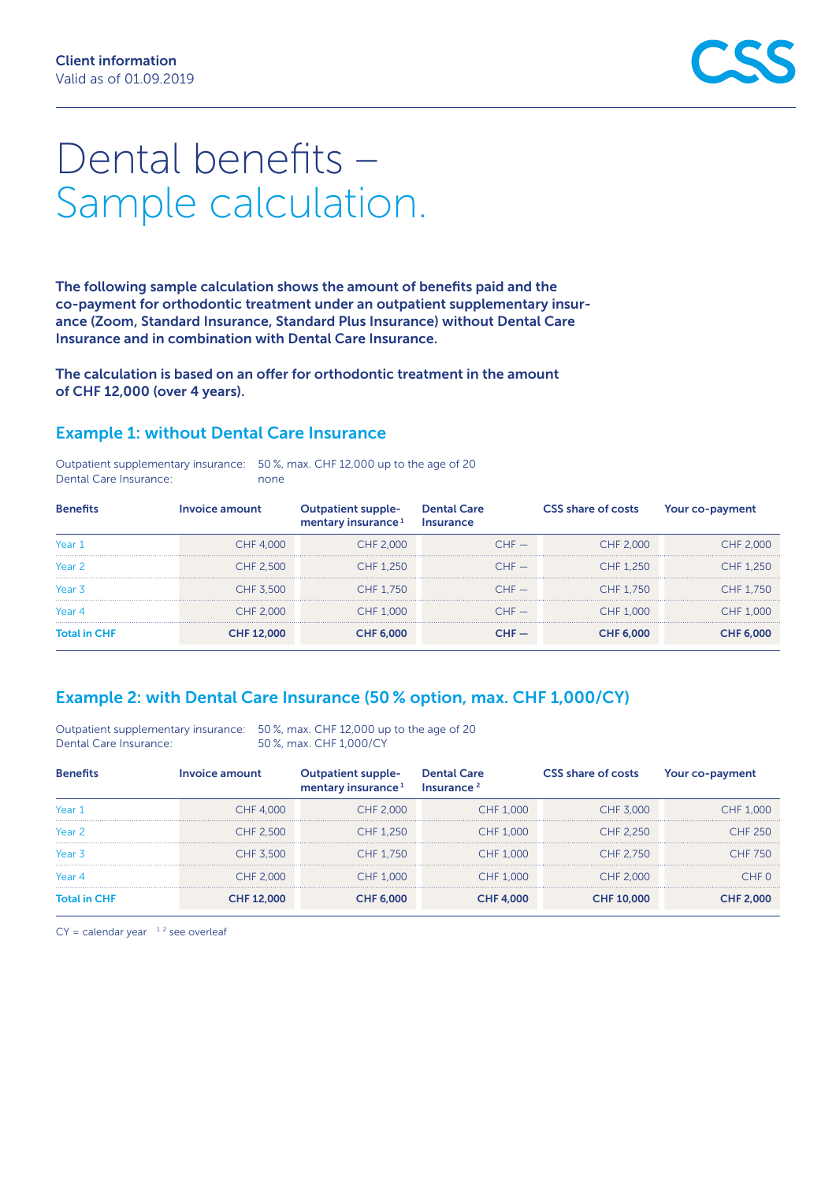# Dental benefits – Sample calculation.

The following sample calculation shows the amount of benefits paid and the co-payment for orthodontic treatment under an outpatient supplementary insurance (Zoom, Standard Insurance, Standard Plus Insurance) without Dental Care Insurance and in combination with Dental Care Insurance.

The calculation is based on an offer for orthodontic treatment in the amount of CHF 12,000 (over 4 years).

#### Example 1: without Dental Care Insurance

|                        | Outpatient supplementary insurance: 50%, max. CHF 12,000 up to the age of 20 |
|------------------------|------------------------------------------------------------------------------|
| Dental Care Insurance: | none                                                                         |

| <b>Benefits</b>     | Invoice amount    | tpatient supple-<br>mentary insurance <sup>1</sup> | <b>Dental Care</b><br>Insurance | <b>CSS share of costs</b> | Your co-payment  |
|---------------------|-------------------|----------------------------------------------------|---------------------------------|---------------------------|------------------|
| Year 1              | CHF 4,000         | CHF 2,000                                          | $CHF -$                         | CHF 2,000                 | CHF 2,000        |
| Year 2              | CHF 2.500         | CHF 1.250                                          | $CHF -$                         | CHF 1.250                 | CHF 1,250        |
| Year <sub>3</sub>   | CHF 3.500         | CHF 1.750                                          | $CHF -$                         | CHF 1.750                 | CHF 1.750        |
| Year <sub>4</sub>   | CHF 2,000         | CHF 1,000                                          | $CHF =$                         | CHF 1,000                 | CHF 1,000        |
| <b>Total in CHF</b> | <b>CHF 12,000</b> | <b>CHF 6,000</b>                                   | $CHF =$                         | <b>CHF 6,000</b>          | <b>CHF 6,000</b> |

### Example 2: with Dental Care Insurance (50 % option, max. CHF 1,000/CY)

Outpatient supplementary insurance: 50 %, max. CHF 12,000 up to the age of 20 Dental Care Insurance: 50 %, max. CHF 1,000/CY

| <b>Benefits</b>     | Invoice amount    | mentary insurance <sup>1</sup> | <b>Dental Care</b><br>Insurance <sup>2</sup> | <b>CSS share of costs</b> | Your co-payment  |
|---------------------|-------------------|--------------------------------|----------------------------------------------|---------------------------|------------------|
| Year 1              | CHF 4.000         | CHF 2,000                      | CHF 1,000                                    | CHF 3.000                 | <b>CHF 1,000</b> |
| Year 2              | CHF 2.500         | CHF 1.250                      | CHF 1,000                                    | CHF 2.250                 | CHF 250          |
| Year 3              | CHF 3.500         | CHF 1.750                      | CHF 1,000                                    | CHF 2.750                 | CHF 750          |
| Year 4              | CHF 2,000         | CHF 1.000                      | CHF 1,000                                    | CHF 2,000                 | CHE 0.           |
| <b>Total in CHF</b> | <b>CHF 12,000</b> | <b>CHF 6,000</b>               | <b>CHF 4,000</b>                             | <b>CHF 10,000</b>         | <b>CHF 2,000</b> |

 $CY =$  calendar year  $1<sup>2</sup>$  see overleaf